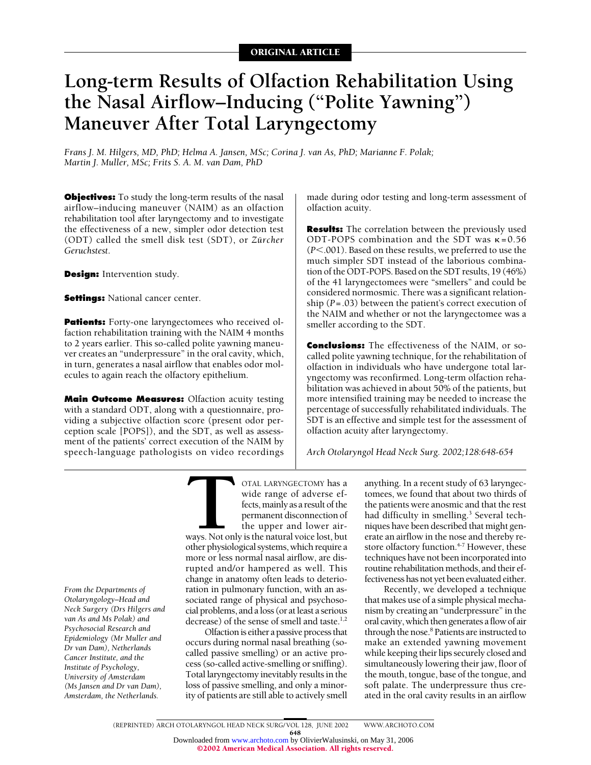# **Long-term Results of Olfaction Rehabilitation Using the Nasal Airflow–Inducing ("Polite Yawning") Maneuver After Total Laryngectomy**

*Frans J. M. Hilgers, MD, PhD; Helma A. Jansen, MSc; Corina J. van As, PhD; Marianne F. Polak; Martin J. Muller, MSc; Frits S. A. M. van Dam, PhD*

**Objectives:** To study the long-term results of the nasal airflow–inducing maneuver (NAIM) as an olfaction rehabilitation tool after laryngectomy and to investigate the effectiveness of a new, simpler odor detection test (ODT) called the smell disk test (SDT), or *Zürcher Geruchstest*.

**Design:** Intervention study.

**Settings: National cancer center.** 

**Patients:** Forty-one laryngectomees who received olfaction rehabilitation training with the NAIM 4 months to 2 years earlier. This so-called polite yawning maneuver creates an "underpressure" in the oral cavity, which, in turn, generates a nasal airflow that enables odor molecules to again reach the olfactory epithelium.

**Main Outcome Measures:** Olfaction acuity testing with a standard ODT, along with a questionnaire, providing a subjective olfaction score (present odor perception scale [POPS]), and the SDT, as well as assessment of the patients' correct execution of the NAIM by speech-language pathologists on video recordings made during odor testing and long-term assessment of olfaction acuity.

**Results:** The correlation between the previously used ODT-POPS combination and the SDT was  $\kappa = 0.56$ (*P*-.001). Based on these results, we preferred to use the much simpler SDT instead of the laborious combination of the ODT-POPS. Based on the SDT results, 19 (46%) of the 41 laryngectomees were "smellers" and could be considered normosmic. There was a significant relationship (*P*=.03) between the patient's correct execution of the NAIM and whether or not the laryngectomee was a smeller according to the SDT.

**Conclusions:** The effectiveness of the NAIM, or socalled polite yawning technique, for the rehabilitation of olfaction in individuals who have undergone total laryngectomy was reconfirmed. Long-term olfaction rehabilitation was achieved in about 50% of the patients, but more intensified training may be needed to increase the percentage of successfully rehabilitated individuals. The SDT is an effective and simple test for the assessment of olfaction acuity after laryngectomy.

*Arch Otolaryngol Head Neck Surg. 2002;128:648-654*

*From the Departments of Otolaryngology–Head and Neck Surgery (Drs Hilgers and van As and Ms Polak) and Psychosocial Research and Epidemiology (Mr Muller and Dr van Dam), Netherlands Cancer Institute, and the Institute of Psychology, University of Amsterdam (Ms Jansen and Dr van Dam), Amsterdam, the Netherlands.*

THE CORRECTOMY has a wide range of adverse effects, mainly as a result of the permanent disconnection of the upper and lower airways. Not only is the natural voice lost, but other physiological systems, which require a wide range of adverse effects, mainly as a result of the permanent disconnection of the upper and lower air-

ways. Not only is the natural voice lost, but other physiological systems, which require a more or less normal nasal airflow, are disrupted and/or hampered as well. This change in anatomy often leads to deterioration in pulmonary function, with an associated range of physical and psychosocial problems, and a loss (or at least a serious decrease) of the sense of smell and taste.<sup>1,2</sup>

Olfaction is either a passive process that occurs during normal nasal breathing (socalled passive smelling) or an active process (so-called active-smelling or sniffing). Total laryngectomy inevitably results in the loss of passive smelling, and only a minority of patients are still able to actively smell anything. In a recent study of 63 laryngectomees, we found that about two thirds of the patients were anosmic and that the rest had difficulty in smelling.<sup>3</sup> Several techniques have been described that might generate an airflow in the nose and thereby restore olfactory function.<sup>4-7</sup> However, these techniques have not been incorporated into routine rehabilitation methods, and their effectiveness has not yet been evaluated either.

Recently, we developed a technique that makes use of a simple physical mechanism by creating an "underpressure" in the oral cavity, which then generates a flow of air through the nose.<sup>8</sup> Patients are instructed to make an extended yawning movement while keeping their lips securely closed and simultaneously lowering their jaw, floor of the mouth, tongue, base of the tongue, and soft palate. The underpressure thus created in the oral cavity results in an airflow

648 Downloaded from [www.archoto.com](http://www.archoto.com) by OlivierWalusinski, on May 31, 2006 ©2002 American Medical Association. All rights reserved.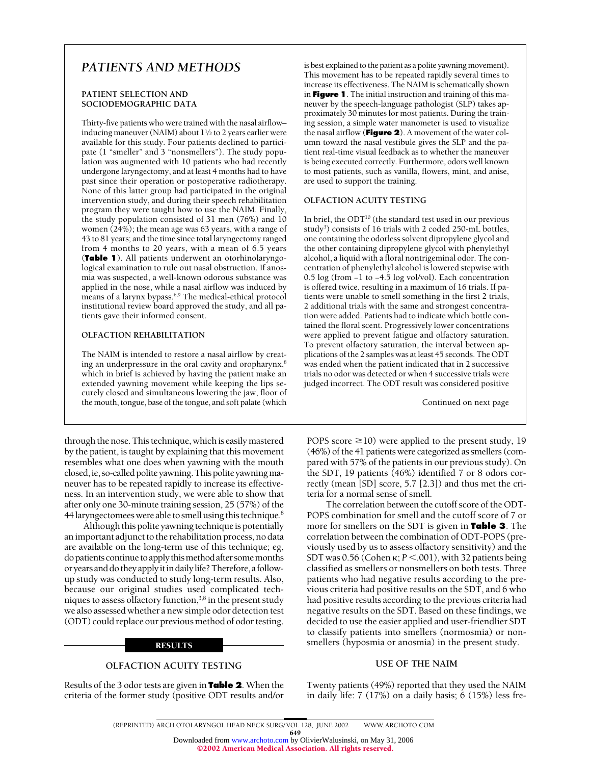## *PATIENTS AND METHODS*

#### **PATIENT SELECTION AND SOCIODEMOGRAPHIC DATA**

Thirty-five patients who were trained with the nasal airflow– inducing maneuver (NAIM) about 1<sup>1</sup>/2 to 2 years earlier were available for this study. Four patients declined to participate (1 "smeller" and 3 "nonsmellers"). The study population was augmented with 10 patients who had recently undergone laryngectomy, and at least 4 months had to have past since their operation or postoperative radiotherapy. None of this latter group had participated in the original intervention study, and during their speech rehabilitation program they were taught how to use the NAIM. Finally, the study population consisted of 31 men (76%) and 10 women (24%); the mean age was 63 years, with a range of 43 to 81 years; and the time since total laryngectomy ranged from 4 months to 20 years, with a mean of 6.5 years (**Table 1**). All patients underwent an otorhinolaryngological examination to rule out nasal obstruction. If anosmia was suspected, a well-known odorous substance was applied in the nose, while a nasal airflow was induced by means of a larynx bypass.<sup>6,9</sup> The medical-ethical protocol institutional review board approved the study, and all patients gave their informed consent.

## **OLFACTION REHABILITATION**

The NAIM is intended to restore a nasal airflow by creating an underpressure in the oral cavity and oropharynx, $8$ which in brief is achieved by having the patient make an extended yawning movement while keeping the lips securely closed and simultaneous lowering the jaw, floor of the mouth, tongue, base of the tongue, and soft palate (which

through the nose. This technique, which is easily mastered by the patient, is taught by explaining that this movement resembles what one does when yawning with the mouth closed, ie, so-called polite yawning. This polite yawning maneuver has to be repeated rapidly to increase its effectiveness. In an intervention study, we were able to show that after only one 30-minute training session, 25 (57%) of the 44 laryngectomees were able to smell using this technique.<sup>8</sup>

Although this polite yawning technique is potentially an important adjunct to the rehabilitation process, no data are available on the long-term use of this technique; eg, do patients continue to apply this method after some months oryearsanddotheyapplyitindailylife?Therefore,afollowup study was conducted to study long-term results. Also, because our original studies used complicated techniques to assess olfactory function,<sup>3,8</sup> in the present study we also assessed whether a new simple odor detection test (ODT) could replace our previous method of odor testing.

#### RESULTS

## **OLFACTION ACUITY TESTING**

Results of the 3 odor tests are given in **Table 2**. When the criteria of the former study (positive ODT results and/or is best explained to the patient as a polite yawning movement). This movement has to be repeated rapidly several times to increase its effectiveness. The NAIM is schematically shown in **Figure 1**. The initial instruction and training of this maneuver by the speech-language pathologist (SLP) takes approximately 30 minutes for most patients. During the training session, a simple water manometer is used to visualize the nasal airflow (**Figure 2**). A movement of the water column toward the nasal vestibule gives the SLP and the patient real-time visual feedback as to whether the maneuver is being executed correctly. Furthermore, odors well known to most patients, such as vanilla, flowers, mint, and anise, are used to support the training.

## **OLFACTION ACUITY TESTING**

In brief, the  $ODT^{10}$  (the standard test used in our previous study<sup>3</sup>) consists of 16 trials with 2 coded 250-mL bottles, one containing the odorless solvent dipropylene glycol and the other containing dipropylene glycol with phenylethyl alcohol, a liquid with a floral nontrigeminal odor. The concentration of phenylethyl alcohol is lowered stepwise with 0.5 log (from −1 to −4.5 log vol/vol). Each concentration is offered twice, resulting in a maximum of 16 trials. If patients were unable to smell something in the first 2 trials, 2 additional trials with the same and strongest concentration were added. Patients had to indicate which bottle contained the floral scent. Progressively lower concentrations were applied to prevent fatigue and olfactory saturation. To prevent olfactory saturation, the interval between applications of the 2 samples was at least 45 seconds. The ODT was ended when the patient indicated that in 2 successive trials no odor was detected or when 4 successive trials were judged incorrect. The ODT result was considered positive

Continued on next page

POPS score  $\geq$ 10) were applied to the present study, 19 (46%) of the 41 patients were categorized as smellers (compared with 57% of the patients in our previous study). On the SDT, 19 patients (46%) identified 7 or 8 odors correctly (mean [SD] score, 5.7 [2.3]) and thus met the criteria for a normal sense of smell.

The correlation between the cutoff score of the ODT-POPS combination for smell and the cutoff score of 7 or more for smellers on the SDT is given in **Table 3**. The correlation between the combination of ODT-POPS (previously used by us to assess olfactory sensitivity) and the SDT was 0.56 (Cohen  $\kappa$ ; *P* < .001), with 32 patients being classified as smellers or nonsmellers on both tests. Three patients who had negative results according to the previous criteria had positive results on the SDT, and 6 who had positive results according to the previous criteria had negative results on the SDT. Based on these findings, we decided to use the easier applied and user-friendlier SDT to classify patients into smellers (normosmia) or nonsmellers (hyposmia or anosmia) in the present study.

#### **USE OF THE NAIM**

Twenty patients (49%) reported that they used the NAIM in daily life: 7 (17%) on a daily basis; 6 (15%) less fre-

649 Downloaded from [www.archoto.com](http://www.archoto.com) by OlivierWalusinski, on May 31, 2006

©2002 American Medical Association. All rights reserved.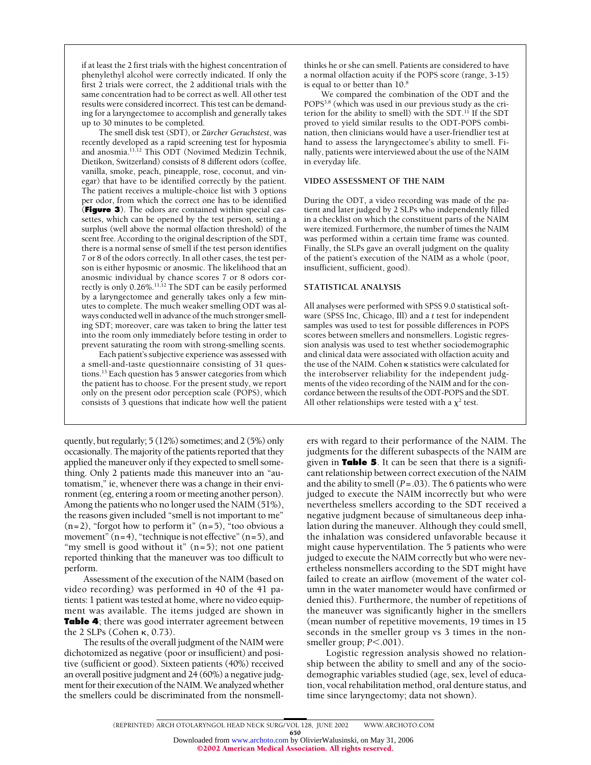if at least the 2 first trials with the highest concentration of phenylethyl alcohol were correctly indicated. If only the first 2 trials were correct, the 2 additional trials with the same concentration had to be correct as well. All other test results were considered incorrect. This test can be demanding for a laryngectomee to accomplish and generally takes up to 30 minutes to be completed.

The smell disk test (SDT), or *Zürcher Geruchstest*, was recently developed as a rapid screening test for hyposmia and anosmia.11,12 This ODT (Novimed Medizin Technik, Dietikon, Switzerland) consists of 8 different odors (coffee, vanilla, smoke, peach, pineapple, rose, coconut, and vinegar) that have to be identified correctly by the patient. The patient receives a multiple-choice list with 3 options per odor, from which the correct one has to be identified (**Figure 3**). The odors are contained within special cassettes, which can be opened by the test person, setting a surplus (well above the normal olfaction threshold) of the scent free. According to the original description of the SDT, there is a normal sense of smell if the test person identifies 7 or 8 of the odors correctly. In all other cases, the test person is either hyposmic or anosmic. The likelihood that an anosmic individual by chance scores 7 or 8 odors correctly is only 0.26%.<sup>11,12</sup> The SDT can be easily performed by a laryngectomee and generally takes only a few minutes to complete. The much weaker smelling ODT was always conducted well in advance of the much stronger smelling SDT; moreover, care was taken to bring the latter test into the room only immediately before testing in order to prevent saturating the room with strong-smelling scents.

Each patient's subjective experience was assessed with a smell-and-taste questionnaire consisting of 31 questions.13 Each question has 5 answer categories from which the patient has to choose. For the present study, we report only on the present odor perception scale (POPS), which consists of 3 questions that indicate how well the patient

quently, but regularly; 5 (12%) sometimes; and 2 (5%) only occasionally. The majority of the patients reported that they applied the maneuver only if they expected to smell something. Only 2 patients made this maneuver into an "automatism," ie, whenever there was a change in their environment (eg, entering a room or meeting another person). Among the patients who no longer used the NAIM (51%), the reasons given included "smell is not important to me"  $(n=2)$ , "forgot how to perform it"  $(n=5)$ , "too obvious a movement"  $(n=4)$ , "technique is not effective"  $(n=5)$ , and "my smell is good without it"  $(n=5)$ ; not one patient reported thinking that the maneuver was too difficult to perform.

Assessment of the execution of the NAIM (based on video recording) was performed in 40 of the 41 patients: 1 patient was tested at home, where no video equipment was available. The items judged are shown in **Table 4**; there was good interrater agreement between the 2 SLPs (Cohen  $\kappa$ , 0.73).

The results of the overall judgment of the NAIM were dichotomized as negative (poor or insufficient) and positive (sufficient or good). Sixteen patients (40%) received an overall positive judgment and 24 (60%) a negative judgment for their execution of the NAIM. We analyzed whether the smellers could be discriminated from the nonsmellthinks he or she can smell. Patients are considered to have a normal olfaction acuity if the POPS score (range, 3-15) is equal to or better than 10.8

We compared the combination of the ODT and the POPS3,8 (which was used in our previous study as the criterion for the ability to smell) with the SDT.<sup>11</sup> If the SDT proved to yield similar results to the ODT-POPS combination, then clinicians would have a user-friendlier test at hand to assess the laryngectomee's ability to smell. Finally, patients were interviewed about the use of the NAIM in everyday life.

#### **VIDEO ASSESSMENT OF THE NAIM**

During the ODT, a video recording was made of the patient and later judged by 2 SLPs who independently filled in a checklist on which the constituent parts of the NAIM were itemized. Furthermore, the number of times the NAIM was performed within a certain time frame was counted. Finally, the SLPs gave an overall judgment on the quality of the patient's execution of the NAIM as a whole (poor, insufficient, sufficient, good).

#### **STATISTICAL ANALYSIS**

All analyses were performed with SPSS 9.0 statistical software (SPSS Inc, Chicago, Ill) and a *t* test for independent samples was used to test for possible differences in POPS scores between smellers and nonsmellers. Logistic regression analysis was used to test whether sociodemographic and clinical data were associated with olfaction acuity and the use of the NAIM. Cohen **K** statistics were calculated for the interobserver reliability for the independent judgments of the video recording of the NAIM and for the concordance between the results of the ODT-POPS and the SDT. All other relationships were tested with a  $\chi^2$  test.

ers with regard to their performance of the NAIM. The judgments for the different subaspects of the NAIM are given in **Table 5**. It can be seen that there is a significant relationship between correct execution of the NAIM and the ability to smell (*P*=.03). The 6 patients who were judged to execute the NAIM incorrectly but who were nevertheless smellers according to the SDT received a negative judgment because of simultaneous deep inhalation during the maneuver. Although they could smell, the inhalation was considered unfavorable because it might cause hyperventilation. The 5 patients who were judged to execute the NAIM correctly but who were nevertheless nonsmellers according to the SDT might have failed to create an airflow (movement of the water column in the water manometer would have confirmed or denied this). Furthermore, the number of repetitions of the maneuver was significantly higher in the smellers (mean number of repetitive movements, 19 times in 15 seconds in the smeller group vs 3 times in the nonsmeller group;  $P < .001$ ).

Logistic regression analysis showed no relationship between the ability to smell and any of the sociodemographic variables studied (age, sex, level of education, vocal rehabilitation method, oral denture status, and time since laryngectomy; data not shown).

650 Downloaded from [www.archoto.com](http://www.archoto.com) by OlivierWalusinski, on May 31, 2006 ©2002 American Medical Association. All rights reserved.

<sup>(</sup>REPRINTED) ARCH OTOLARYNGOL HEAD NECK SURG/ VOL 128, JUNE 2002 WWW.ARCHOTO.COM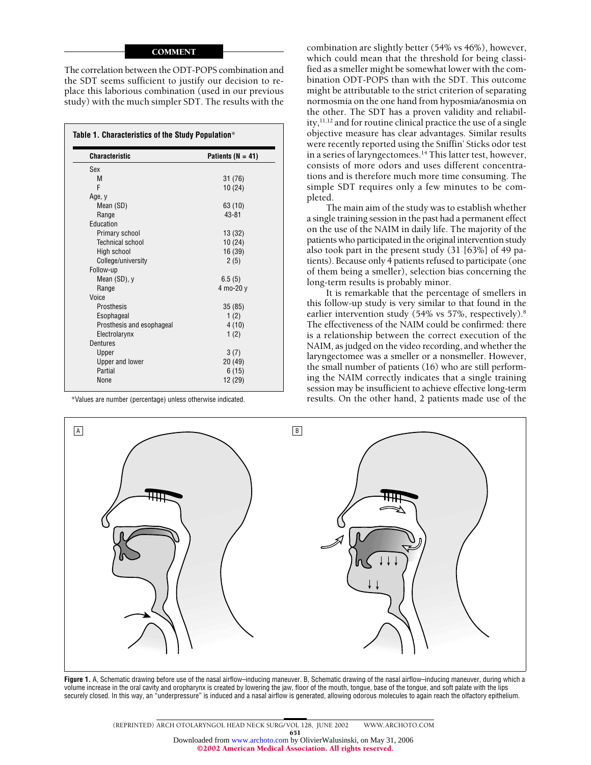## **COMMENT**

The correlation between the ODT-POPS combination and the SDT seems sufficient to justify our decision to replace this laborious combination (used in our previous study) with the much simpler SDT. The results with the

| <b>Characteristic</b>     | Patients ( $N = 41$ ) |
|---------------------------|-----------------------|
| Sex                       |                       |
| M                         | 31 (76)               |
| F                         | 10(24)                |
| Age, y                    |                       |
| Mean (SD)                 | 63 (10)               |
| Range                     | $43 - 81$             |
| Education                 |                       |
| Primary school            | 13(32)                |
| <b>Technical school</b>   | 10(24)                |
| High school               | 16 (39)               |
| College/university        | 2(5)                  |
| Follow-up                 |                       |
| Mean (SD), y              | 6.5(5)                |
| Range                     | 4 mo-20 y             |
| Voice                     |                       |
| Prosthesis                | 35(85)                |
| Esophageal                | 1(2)                  |
| Prosthesis and esophageal | 4(10)                 |
| Electrolarynx             | 1(2)                  |
| <b>Dentures</b>           |                       |
| Upper                     | 3(7)                  |
| <b>Upper and lower</b>    | 20(49)                |
| Partial                   | 6(15)                 |
| None                      | 12 (29)               |

\*Values are number (percentage) unless otherwise indicated.

combination are slightly better (54% vs 46%), however, which could mean that the threshold for being classified as a smeller might be somewhat lower with the combination ODT-POPS than with the SDT. This outcome might be attributable to the strict criterion of separating normosmia on the one hand from hyposmia/anosmia on the other. The SDT has a proven validity and reliability,<sup>11,12</sup> and for routine clinical practice the use of a single objective measure has clear advantages. Similar results were recently reported using the Sniffin' Sticks odor test in a series of laryngectomees.<sup>14</sup> This latter test, however, consists of more odors and uses different concentrations and is therefore much more time consuming. The simple SDT requires only a few minutes to be completed.

The main aim of the study was to establish whether a single training session in the past had a permanent effect on the use of the NAIM in daily life. The majority of the patients who participated in the original intervention study also took part in the present study (31 [63%] of 49 patients). Because only 4 patients refused to participate (one of them being a smeller), selection bias concerning the long-term results is probably minor.

It is remarkable that the percentage of smellers in this follow-up study is very similar to that found in the earlier intervention study (54% vs 57%, respectively).<sup>8</sup> The effectiveness of the NAIM could be confirmed: there is a relationship between the correct execution of the NAIM, as judged on the video recording, and whether the laryngectomee was a smeller or a nonsmeller. However, the small number of patients (16) who are still performing the NAIM correctly indicates that a single training session may be insufficient to achieve effective long-term results. On the other hand, 2 patients made use of the



**Figure 1.** A, Schematic drawing before use of the nasal airflow–inducing maneuver. B, Schematic drawing of the nasal airflow–inducing maneuver, during which a volume increase in the oral cavity and oropharynx is created by lowering the jaw, floor of the mouth, tongue, base of the tongue, and soft palate with the lips securely closed. In this way, an "underpressure" is induced and a nasal airflow is generated, allowing odorous molecules to again reach the olfactory epithelium.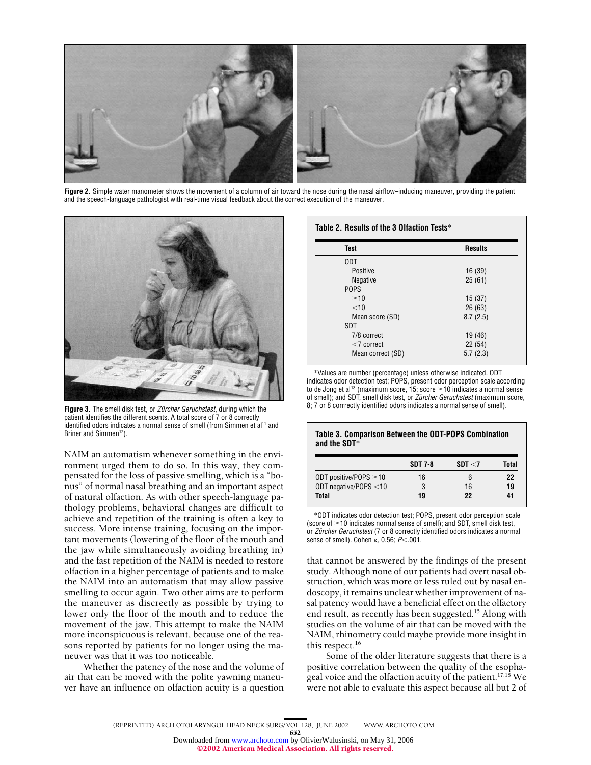

Figure 2. Simple water manometer shows the movement of a column of air toward the nose during the nasal airflow–inducing maneuver, providing the patient and the speech-language pathologist with real-time visual feedback about the correct execution of the maneuver.



Figure 3. The smell disk test, or *Zürcher Geruchstest*, during which the patient identifies the different scents. A total score of 7 or 8 correctly identified odors indicates a normal sense of smell (from Simmen et al<sup>11</sup> and Briner and Simmen<sup>12</sup>).

NAIM an automatism whenever something in the environment urged them to do so. In this way, they compensated for the loss of passive smelling, which is a "bonus" of normal nasal breathing and an important aspect of natural olfaction. As with other speech-language pathology problems, behavioral changes are difficult to achieve and repetition of the training is often a key to success. More intense training, focusing on the important movements (lowering of the floor of the mouth and the jaw while simultaneously avoiding breathing in) and the fast repetition of the NAIM is needed to restore olfaction in a higher percentage of patients and to make the NAIM into an automatism that may allow passive smelling to occur again. Two other aims are to perform the maneuver as discreetly as possible by trying to lower only the floor of the mouth and to reduce the movement of the jaw. This attempt to make the NAIM more inconspicuous is relevant, because one of the reasons reported by patients for no longer using the maneuver was that it was too noticeable.

Whether the patency of the nose and the volume of air that can be moved with the polite yawning maneuver have an influence on olfaction acuity is a question

#### **Table 2. Results of the 3 Olfaction Tests**\*

| <b>Test</b>       | <b>Results</b> |
|-------------------|----------------|
| ODT               |                |
| Positive          | 16 (39)        |
| Negative          | 25(61)         |
| <b>POPS</b>       |                |
| $\geq 10$         | 15(37)         |
| $<$ 10            | 26(63)         |
| Mean score (SD)   | 8.7(2.5)       |
| SDT               |                |
| 7/8 correct       | 19 (46)        |
| $<$ 7 correct     | 22(54)         |
| Mean correct (SD) | 5.7(2.3)       |

\*Values are number (percentage) unless otherwise indicated. ODT indicates odor detection test; POPS, present odor perception scale according to de Jong et al<sup>13</sup> (maximum score, 15; score  $\geq$  10 indicates a normal sense of smell); and SDT, smell disk test, or *Zürcher Geruchstest* (maximum score, 8; 7 or 8 corrrectly identified odors indicates a normal sense of smell).

#### **Table 3. Comparison Between the ODT-POPS Combination and the SDT**\*

|                             | <b>SDT 7-8</b> | SDT < 7 | Total |
|-----------------------------|----------------|---------|-------|
| ODT positive/POPS $\geq$ 10 | 16             | 6       | 22    |
| ODT negative/POPS <10       | 3              | 16      | 19    |
| Total                       | 19             | 22      | 41    |

\*ODT indicates odor detection test; POPS, present odor perception scale (score of  $\geq$  10 indicates normal sense of smell); and SDT, smell disk test, or *Zürcher Geruchstest* (7 or 8 correctly identified odors indicates a normal sense of smell). Cohen  $\kappa$ , 0.56;  $P<$  001.

that cannot be answered by the findings of the present study. Although none of our patients had overt nasal obstruction, which was more or less ruled out by nasal endoscopy, it remains unclear whether improvement of nasal patency would have a beneficial effect on the olfactory end result, as recently has been suggested.<sup>15</sup> Along with studies on the volume of air that can be moved with the NAIM, rhinometry could maybe provide more insight in this respect. $16$ 

Some of the older literature suggests that there is a positive correlation between the quality of the esophageal voice and the olfaction acuity of the patient.<sup>17,18</sup> We were not able to evaluate this aspect because all but 2 of

652 Downloaded from [www.archoto.com](http://www.archoto.com) by OlivierWalusinski, on May 31, 2006

©2002 American Medical Association. All rights reserved.

<sup>(</sup>REPRINTED) ARCH OTOLARYNGOL HEAD NECK SURG/ VOL 128, JUNE 2002 WWW.ARCHOTO.COM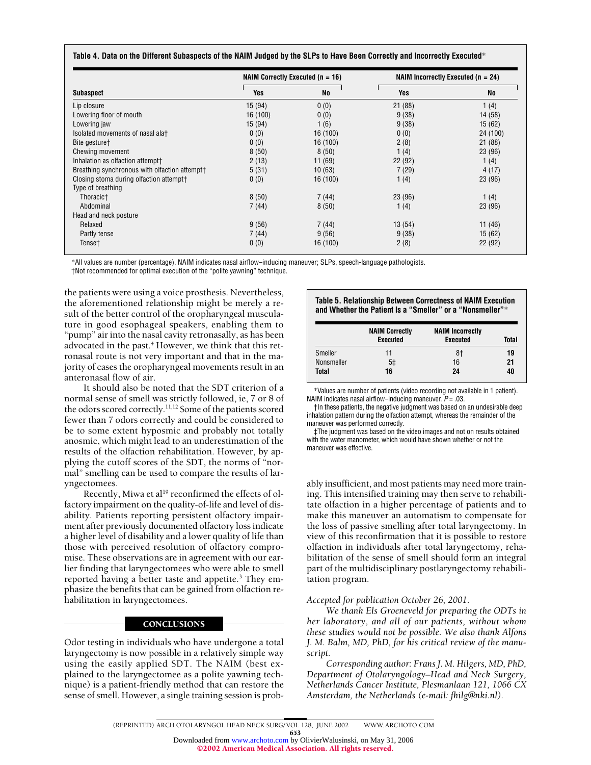|  | Table 4. Data on the Different Subaspects of the NAIM Judged by the SLPs to Have Been Correctly and Incorrectly Executed* |
|--|---------------------------------------------------------------------------------------------------------------------------|
|--|---------------------------------------------------------------------------------------------------------------------------|

|                                                     | NAIM Correctly Executed ( $n = 16$ ) |           | NAIM Incorrectly Executed ( $n = 24$ ) |          |
|-----------------------------------------------------|--------------------------------------|-----------|----------------------------------------|----------|
| <b>Subaspect</b>                                    | Yes                                  | <b>No</b> | Yes                                    | No       |
| Lip closure                                         | 15(94)                               | 0(0)      | 21(88)                                 | 1(4)     |
| Lowering floor of mouth                             | 16 (100)                             | 0(0)      | 9(38)                                  | 14 (58)  |
| Lowering jaw                                        | 15(94)                               | 1(6)      | 9(38)                                  | 15(62)   |
| Isolated movements of nasal alat                    | 0(0)                                 | 16 (100)  | 0(0)                                   | 24 (100) |
| Bite gesture†                                       | 0(0)                                 | 16 (100)  | 2(8)                                   | 21(88)   |
| Chewing movement                                    | 8(50)                                | 8(50)     | 1(4)                                   | 23 (96)  |
| Inhalation as olfaction attempt <sup>+</sup>        | 2(13)                                | 11 (69)   | 22(92)                                 | 1 $(4)$  |
| Breathing synchronous with olfaction attempt†       | 5(31)                                | 10(63)    | 7(29)                                  | 4(17)    |
| Closing stoma during olfaction attempt <sup>+</sup> | 0(0)                                 | 16 (100)  | 1(4)                                   | 23 (96)  |
| Type of breathing                                   |                                      |           |                                        |          |
| Thoracic†                                           | 8(50)                                | 7(44)     | 23 (96)                                | 1(4)     |
| Abdominal                                           | 7(44)                                | 8(50)     | 1 (4)                                  | 23 (96)  |
| Head and neck posture                               |                                      |           |                                        |          |
| Relaxed                                             | 9(56)                                | 7(44)     | 13 (54)                                | 11 (46)  |
| Partly tense                                        | 7(44)                                | 9(56)     | 9(38)                                  | 15(62)   |
| Tense†                                              | 0(0)                                 | 16 (100)  | 2(8)                                   | 22(92)   |

\*All values are number (percentage). NAIM indicates nasal airflow–inducing maneuver; SLPs, speech-language pathologists. †Not recommended for optimal execution of the "polite yawning" technique.

the patients were using a voice prosthesis. Nevertheless, the aforementioned relationship might be merely a result of the better control of the oropharyngeal musculature in good esophageal speakers, enabling them to "pump" air into the nasal cavity retronasally, as has been advocated in the past.<sup>4</sup> However, we think that this retronasal route is not very important and that in the majority of cases the oropharyngeal movements result in an anteronasal flow of air.

It should also be noted that the SDT criterion of a normal sense of smell was strictly followed, ie, 7 or 8 of the odors scored correctly.<sup>11,12</sup> Some of the patients scored fewer than 7 odors correctly and could be considered to be to some extent hyposmic and probably not totally anosmic, which might lead to an underestimation of the results of the olfaction rehabilitation. However, by applying the cutoff scores of the SDT, the norms of "normal" smelling can be used to compare the results of laryngectomees.

Recently, Miwa et al<sup>19</sup> reconfirmed the effects of olfactory impairment on the quality-of-life and level of disability. Patients reporting persistent olfactory impairment after previously documented olfactory loss indicate a higher level of disability and a lower quality of life than those with perceived resolution of olfactory compromise. These observations are in agreement with our earlier finding that laryngectomees who were able to smell reported having a better taste and appetite.<sup>3</sup> They emphasize the benefits that can be gained from olfaction rehabilitation in laryngectomees.

## **CONCLUSIONS**

Odor testing in individuals who have undergone a total laryngectomy is now possible in a relatively simple way using the easily applied SDT. The NAIM (best explained to the laryngectomee as a polite yawning technique) is a patient-friendly method that can restore the sense of smell. However, a single training session is prob-

#### **Table 5. Relationship Between Correctness of NAIM Execution and Whether the Patient Is a "Smeller" or a "Nonsmeller"**\*

|                   | <b>NAIM Correctly</b><br><b>Executed</b> | <b>NAIM Incorrectly</b><br><b>Executed</b> | <b>Total</b> |
|-------------------|------------------------------------------|--------------------------------------------|--------------|
| <b>Smeller</b>    | 11                                       | 8†                                         | 19           |
| <b>Nonsmeller</b> | 5 <sup>†</sup>                           | 16                                         | 21           |
| Total             | 16                                       | 24                                         | 40           |

\*Values are number of patients (video recording not available in 1 patient). NAIM indicates nasal airflow–inducing maneuver. *P* = .03.

†In these patients, the negative judgment was based on an undesirable deep inhalation pattern during the olfaction attempt, whereas the remainder of the maneuver was performed correctly.

‡The judgment was based on the video images and not on results obtained with the water manometer, which would have shown whether or not the maneuver was effective.

ably insufficient, and most patients may need more training. This intensified training may then serve to rehabilitate olfaction in a higher percentage of patients and to make this maneuver an automatism to compensate for the loss of passive smelling after total laryngectomy. In view of this reconfirmation that it is possible to restore olfaction in individuals after total laryngectomy, rehabilitation of the sense of smell should form an integral part of the multidisciplinary postlaryngectomy rehabilitation program.

## *Accepted for publication October 26, 2001.*

*We thank Els Groeneveld for preparing the ODTs in her laboratory, and all of our patients, without whom these studies would not be possible. We also thank Alfons J. M. Balm, MD, PhD, for his critical review of the manuscript.*

*Corresponding author: Frans J. M. Hilgers, MD, PhD, Department of Otolaryngology–Head and Neck Surgery, Netherlands Cancer Institute, Plesmanlaan 121, 1066 CX Amsterdam, the Netherlands (e-mail: fhilg@nki.nl).*

653 Downloaded from [www.archoto.com](http://www.archoto.com) by OlivierWalusinski, on May 31, 2006 ©2002 American Medical Association. All rights reserved.

<sup>(</sup>REPRINTED) ARCH OTOLARYNGOL HEAD NECK SURG/ VOL 128, JUNE 2002 WWW.ARCHOTO.COM